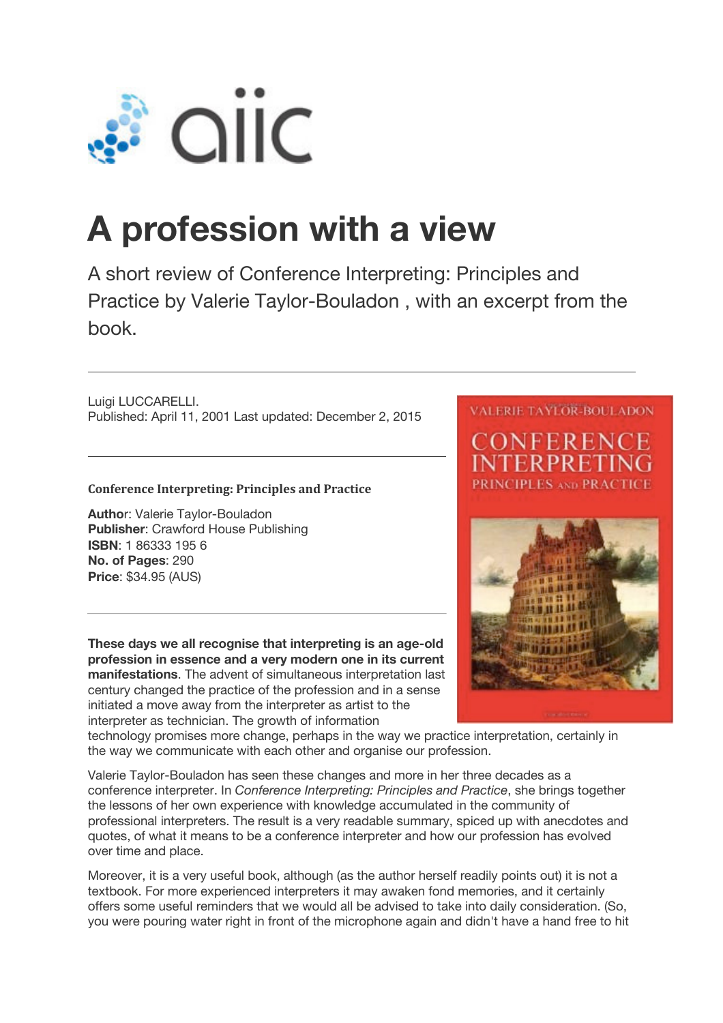

# **A profession with a view**

A short review of Conference Interpreting: Principles and Practice by Valerie Taylor-Bouladon , with an excerpt from the book.

Luigi LUCCARELLI. Published: April 11, 2001 Last updated: December 2, 2015

### **Conference Interpreting: Principles and Practice**

**Autho**r: Valerie Taylor-Bouladon **Publisher**: Crawford House Publishing **ISBN**: 1 86333 195 6 **No. of Pages**: 290 **Price**: \$34.95 (AUS)

**These days we all recognise that interpreting is an age-old profession in essence and a very modern one in its current manifestations**. The advent of simultaneous interpretation last century changed the practice of the profession and in a sense initiated a move away from the interpreter as artist to the interpreter as technician. The growth of information



**VALERIE TAYLOR-BOULADON** 

ONFERENCE **FRPRETIN** 

technology promises more change, perhaps in the way we practice interpretation, certainly in the way we communicate with each other and organise our profession.

Valerie Taylor-Bouladon has seen these changes and more in her three decades as a conference interpreter. In *Conference Interpreting: Principles and Practice*, she brings together the lessons of her own experience with knowledge accumulated in the community of professional interpreters. The result is a very readable summary, spiced up with anecdotes and quotes, of what it means to be a conference interpreter and how our profession has evolved over time and place.

Moreover, it is a very useful book, although (as the author herself readily points out) it is not a textbook. For more experienced interpreters it may awaken fond memories, and it certainly offers some useful reminders that we would all be advised to take into daily consideration. (So, you were pouring water right in front of the microphone again and didn't have a hand free to hit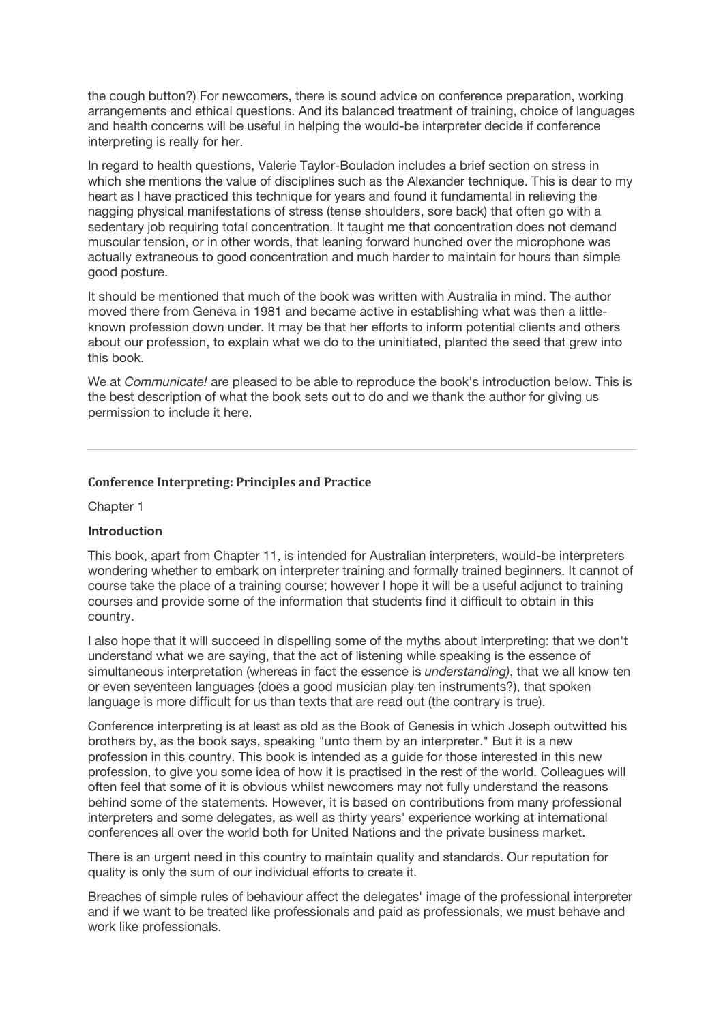the cough button?) For newcomers, there is sound advice on conference preparation, working arrangements and ethical questions. And its balanced treatment of training, choice of languages and health concerns will be useful in helping the would-be interpreter decide if conference interpreting is really for her.

In regard to health questions, Valerie Taylor-Bouladon includes a brief section on stress in which she mentions the value of disciplines such as the Alexander technique. This is dear to my heart as I have practiced this technique for years and found it fundamental in relieving the nagging physical manifestations of stress (tense shoulders, sore back) that often go with a sedentary job requiring total concentration. It taught me that concentration does not demand muscular tension, or in other words, that leaning forward hunched over the microphone was actually extraneous to good concentration and much harder to maintain for hours than simple good posture.

It should be mentioned that much of the book was written with Australia in mind. The author moved there from Geneva in 1981 and became active in establishing what was then a littleknown profession down under. It may be that her efforts to inform potential clients and others about our profession, to explain what we do to the uninitiated, planted the seed that grew into this book.

We at *Communicate!* are pleased to be able to reproduce the book's introduction below. This is the best description of what the book sets out to do and we thank the author for giving us permission to include it here.

#### **Conference Interpreting: Principles and Practice**

Chapter 1

#### **Introduction**

This book, apart from Chapter 11, is intended for Australian interpreters, would-be interpreters wondering whether to embark on interpreter training and formally trained beginners. It cannot of course take the place of a training course; however I hope it will be a useful adjunct to training courses and provide some of the information that students find it difficult to obtain in this country.

I also hope that it will succeed in dispelling some of the myths about interpreting: that we don't understand what we are saying, that the act of listening while speaking is the essence of simultaneous interpretation (whereas in fact the essence is *understanding)*, that we all know ten or even seventeen languages (does a good musician play ten instruments?), that spoken language is more difficult for us than texts that are read out (the contrary is true).

Conference interpreting is at least as old as the Book of Genesis in which Joseph outwitted his brothers by, as the book says, speaking "unto them by an interpreter." But it is a new profession in this country. This book is intended as a guide for those interested in this new profession, to give you some idea of how it is practised in the rest of the world. Colleagues will often feel that some of it is obvious whilst newcomers may not fully understand the reasons behind some of the statements. However, it is based on contributions from many professional interpreters and some delegates, as well as thirty years' experience working at international conferences all over the world both for United Nations and the private business market.

There is an urgent need in this country to maintain quality and standards. Our reputation for quality is only the sum of our individual efforts to create it.

Breaches of simple rules of behaviour affect the delegates' image of the professional interpreter and if we want to be treated like professionals and paid as professionals, we must behave and work like professionals.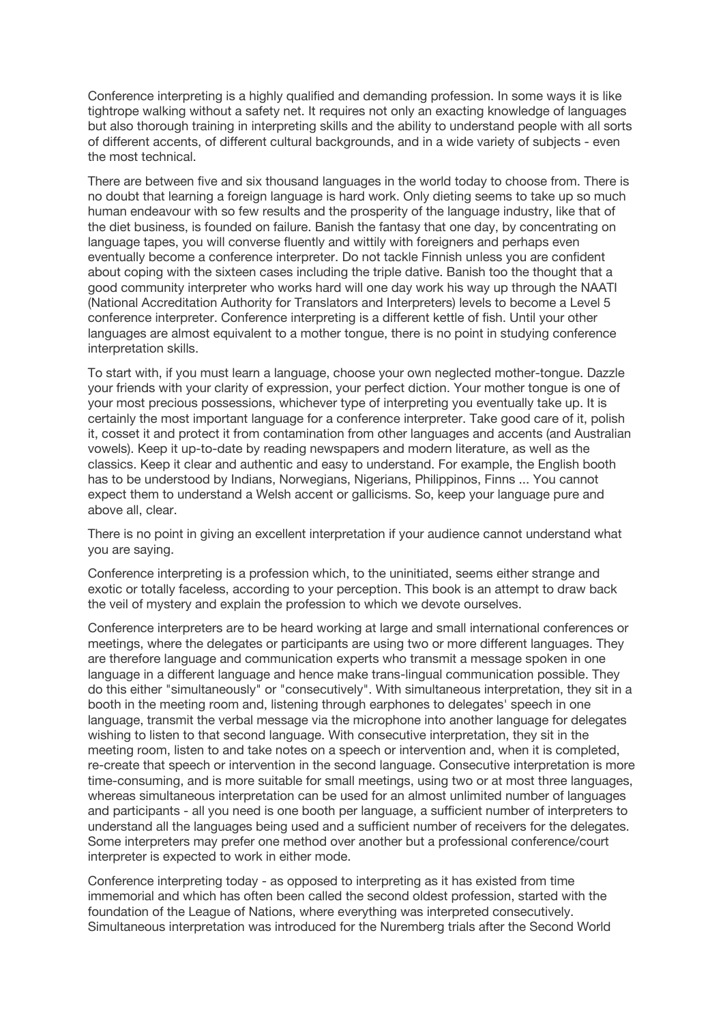Conference interpreting is a highly qualified and demanding profession. In some ways it is like tightrope walking without a safety net. It requires not only an exacting knowledge of languages but also thorough training in interpreting skills and the ability to understand people with all sorts of different accents, of different cultural backgrounds, and in a wide variety of subjects - even the most technical.

There are between five and six thousand languages in the world today to choose from. There is no doubt that learning a foreign language is hard work. Only dieting seems to take up so much human endeavour with so few results and the prosperity of the language industry, like that of the diet business, is founded on failure. Banish the fantasy that one day, by concentrating on language tapes, you will converse fluently and wittily with foreigners and perhaps even eventually become a conference interpreter. Do not tackle Finnish unless you are confident about coping with the sixteen cases including the triple dative. Banish too the thought that a good community interpreter who works hard will one day work his way up through the NAATI (National Accreditation Authority for Translators and Interpreters) levels to become a Level 5 conference interpreter. Conference interpreting is a different kettle of fish. Until your other languages are almost equivalent to a mother tongue, there is no point in studying conference interpretation skills.

To start with, if you must learn a language, choose your own neglected mother-tongue. Dazzle your friends with your clarity of expression, your perfect diction. Your mother tongue is one of your most precious possessions, whichever type of interpreting you eventually take up. It is certainly the most important language for a conference interpreter. Take good care of it, polish it, cosset it and protect it from contamination from other languages and accents (and Australian vowels). Keep it up-to-date by reading newspapers and modern literature, as well as the classics. Keep it clear and authentic and easy to understand. For example, the English booth has to be understood by Indians, Norwegians, Nigerians, Philippinos, Finns ... You cannot expect them to understand a Welsh accent or gallicisms. So, keep your language pure and above all, clear.

There is no point in giving an excellent interpretation if your audience cannot understand what you are saying.

Conference interpreting is a profession which, to the uninitiated, seems either strange and exotic or totally faceless, according to your perception. This book is an attempt to draw back the veil of mystery and explain the profession to which we devote ourselves.

Conference interpreters are to be heard working at large and small international conferences or meetings, where the delegates or participants are using two or more different languages. They are therefore language and communication experts who transmit a message spoken in one language in a different language and hence make trans-lingual communication possible. They do this either "simultaneously" or "consecutively". With simultaneous interpretation, they sit in a booth in the meeting room and, listening through earphones to delegates' speech in one language, transmit the verbal message via the microphone into another language for delegates wishing to listen to that second language. With consecutive interpretation, they sit in the meeting room, listen to and take notes on a speech or intervention and, when it is completed, re-create that speech or intervention in the second language. Consecutive interpretation is more time-consuming, and is more suitable for small meetings, using two or at most three languages, whereas simultaneous interpretation can be used for an almost unlimited number of languages and participants - all you need is one booth per language, a sufficient number of interpreters to understand all the languages being used and a sufficient number of receivers for the delegates. Some interpreters may prefer one method over another but a professional conference/court interpreter is expected to work in either mode.

Conference interpreting today - as opposed to interpreting as it has existed from time immemorial and which has often been called the second oldest profession, started with the foundation of the League of Nations, where everything was interpreted consecutively. Simultaneous interpretation was introduced for the Nuremberg trials after the Second World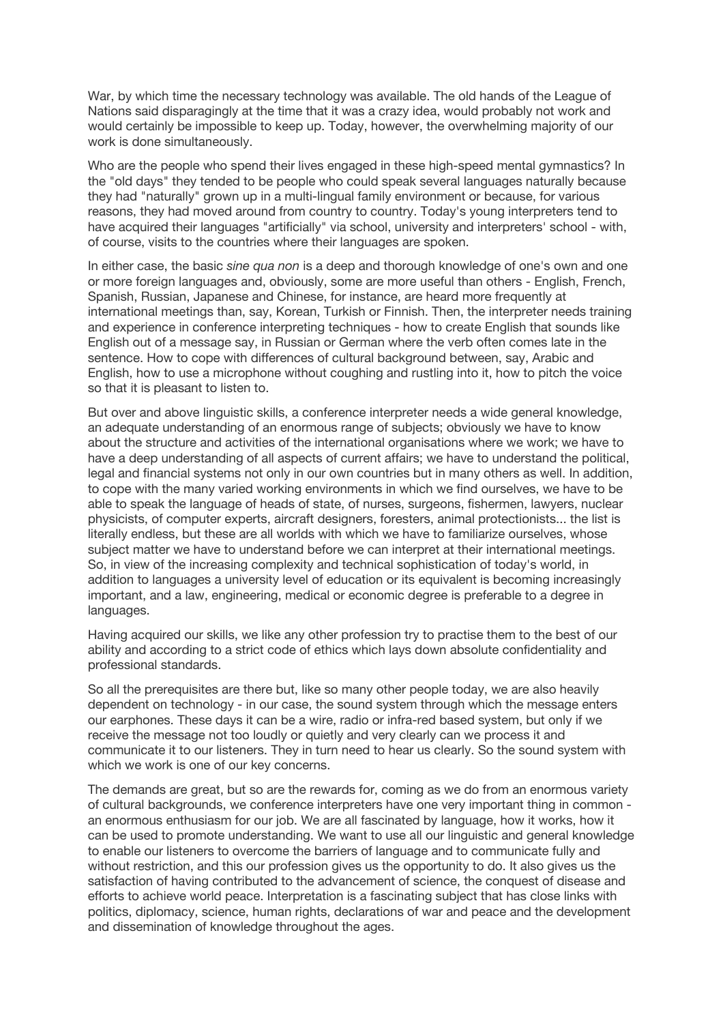War, by which time the necessary technology was available. The old hands of the League of Nations said disparagingly at the time that it was a crazy idea, would probably not work and would certainly be impossible to keep up. Today, however, the overwhelming majority of our work is done simultaneously.

Who are the people who spend their lives engaged in these high-speed mental gymnastics? In the "old days" they tended to be people who could speak several languages naturally because they had "naturally" grown up in a multi-lingual family environment or because, for various reasons, they had moved around from country to country. Today's young interpreters tend to have acquired their languages "artificially" via school, university and interpreters' school - with, of course, visits to the countries where their languages are spoken.

In either case, the basic *sine qua non* is a deep and thorough knowledge of one's own and one or more foreign languages and, obviously, some are more useful than others - English, French, Spanish, Russian, Japanese and Chinese, for instance, are heard more frequently at international meetings than, say, Korean, Turkish or Finnish. Then, the interpreter needs training and experience in conference interpreting techniques - how to create English that sounds like English out of a message say, in Russian or German where the verb often comes late in the sentence. How to cope with differences of cultural background between, say, Arabic and English, how to use a microphone without coughing and rustling into it, how to pitch the voice so that it is pleasant to listen to.

But over and above linguistic skills, a conference interpreter needs a wide general knowledge, an adequate understanding of an enormous range of subjects; obviously we have to know about the structure and activities of the international organisations where we work; we have to have a deep understanding of all aspects of current affairs; we have to understand the political, legal and financial systems not only in our own countries but in many others as well. In addition, to cope with the many varied working environments in which we find ourselves, we have to be able to speak the language of heads of state, of nurses, surgeons, fishermen, lawyers, nuclear physicists, of computer experts, aircraft designers, foresters, animal protectionists... the list is literally endless, but these are all worlds with which we have to familiarize ourselves, whose subject matter we have to understand before we can interpret at their international meetings. So, in view of the increasing complexity and technical sophistication of today's world, in addition to languages a university level of education or its equivalent is becoming increasingly important, and a law, engineering, medical or economic degree is preferable to a degree in languages.

Having acquired our skills, we like any other profession try to practise them to the best of our ability and according to a strict code of ethics which lays down absolute confidentiality and professional standards.

So all the prerequisites are there but, like so many other people today, we are also heavily dependent on technology - in our case, the sound system through which the message enters our earphones. These days it can be a wire, radio or infra-red based system, but only if we receive the message not too loudly or quietly and very clearly can we process it and communicate it to our listeners. They in turn need to hear us clearly. So the sound system with which we work is one of our key concerns.

The demands are great, but so are the rewards for, coming as we do from an enormous variety of cultural backgrounds, we conference interpreters have one very important thing in common an enormous enthusiasm for our job. We are all fascinated by language, how it works, how it can be used to promote understanding. We want to use all our linguistic and general knowledge to enable our listeners to overcome the barriers of language and to communicate fully and without restriction, and this our profession gives us the opportunity to do. It also gives us the satisfaction of having contributed to the advancement of science, the conquest of disease and efforts to achieve world peace. Interpretation is a fascinating subject that has close links with politics, diplomacy, science, human rights, declarations of war and peace and the development and dissemination of knowledge throughout the ages.